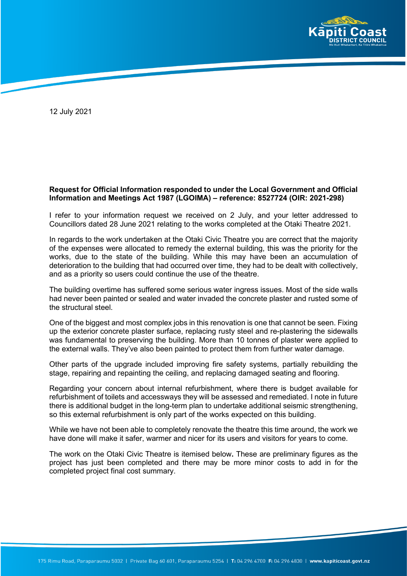

12 July 2021

#### **Request for Official Information responded to under the Local Government and Official Information and Meetings Act 1987 (LGOIMA) – reference: 8527724 (OIR: 2021-298)**

I refer to your information request we received on 2 July, and your letter addressed to Councillors dated 28 June 2021 relating to the works completed at the Otaki Theatre 2021.

In regards to the work undertaken at the Otaki Civic Theatre you are correct that the majority of the expenses were allocated to remedy the external building, this was the priority for the works, due to the state of the building. While this may have been an accumulation of deterioration to the building that had occurred over time, they had to be dealt with collectively, and as a priority so users could continue the use of the theatre.

The building overtime has suffered some serious water ingress issues. Most of the side walls had never been painted or sealed and water invaded the concrete plaster and rusted some of the structural steel.

One of the biggest and most complex jobs in this renovation is one that cannot be seen. Fixing up the exterior concrete plaster surface, replacing rusty steel and re-plastering the sidewalls was fundamental to preserving the building. More than 10 tonnes of plaster were applied to the external walls. They've also been painted to protect them from further water damage.

Other parts of the upgrade included improving fire safety systems, partially rebuilding the stage, repairing and repainting the ceiling, and replacing damaged seating and flooring.

Regarding your concern about internal refurbishment, where there is budget available for refurbishment of toilets and accessways they will be assessed and remediated. I note in future there is additional budget in the long-term plan to undertake additional seismic strengthening, so this external refurbishment is only part of the works expected on this building.

While we have not been able to completely renovate the theatre this time around, the work we have done will make it safer, warmer and nicer for its users and visitors for years to come.

The work on the Otaki Civic Theatre is itemised below**.** These are preliminary figures as the project has just been completed and there may be more minor costs to add in for the completed project final cost summary.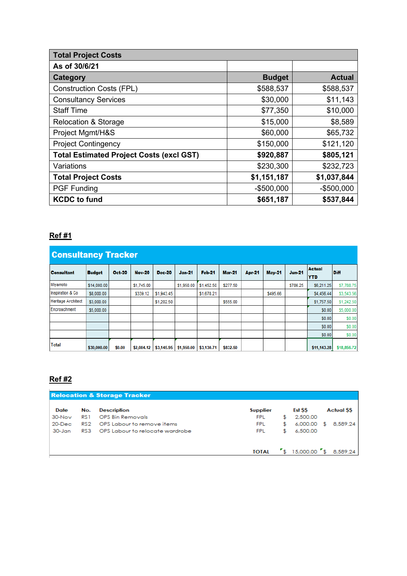| <b>Total Project Costs</b>                      |               |               |  |  |  |  |  |
|-------------------------------------------------|---------------|---------------|--|--|--|--|--|
| As of 30/6/21                                   |               |               |  |  |  |  |  |
| Category                                        | <b>Budget</b> | <b>Actual</b> |  |  |  |  |  |
| <b>Construction Costs (FPL)</b>                 | \$588,537     | \$588,537     |  |  |  |  |  |
| <b>Consultancy Services</b>                     | \$30,000      | \$11,143      |  |  |  |  |  |
| <b>Staff Time</b>                               | \$77,350      | \$10,000      |  |  |  |  |  |
| <b>Relocation &amp; Storage</b>                 | \$15,000      | \$8,589       |  |  |  |  |  |
| Project Mgmt/H&S                                | \$60,000      | \$65,732      |  |  |  |  |  |
| <b>Project Contingency</b>                      | \$150,000     | \$121,120     |  |  |  |  |  |
| <b>Total Estimated Project Costs (excl GST)</b> | \$920,887     | \$805,121     |  |  |  |  |  |
| Variations                                      | \$230,300     | \$232,723     |  |  |  |  |  |
| <b>Total Project Costs</b>                      | \$1,151,187   | \$1,037,844   |  |  |  |  |  |
| <b>PGF Funding</b>                              | $-$500,000$   | $-$500,000$   |  |  |  |  |  |
| <b>KCDC</b> to fund                             | \$651,187     | \$537,844     |  |  |  |  |  |

### **Ref #1**

| <b>Consultancy Tracker</b> |               |               |               |            |               |               |               |               |               |               |                             |             |
|----------------------------|---------------|---------------|---------------|------------|---------------|---------------|---------------|---------------|---------------|---------------|-----------------------------|-------------|
| <b>Consultant</b>          | <b>Budget</b> | <b>Oct-20</b> | <b>Nov-20</b> | Dec-20     | <b>Jan-21</b> | <b>Feb-21</b> | <b>Mar-21</b> | <b>Apr-21</b> | <b>May-21</b> | <b>Jun-21</b> | <b>Actual</b><br><b>YTD</b> | <b>Diff</b> |
| Miyamoto                   | \$14,000.00   |               | \$1,745.00    |            | \$1,950.00    | \$1,452.50    | \$277.50      |               |               | \$786.25      | \$6,211.25                  | \$7,788.75  |
| Inspiration & Co.          | \$8,000.00    |               | \$339.12      | \$1,943.45 |               | \$1,678.21    |               |               | \$495.66      |               | \$4,456.44                  | \$3,543.56  |
| <b>Heritage Architect</b>  | \$3,000.00    |               |               | \$1,202.50 |               |               | \$555.00      |               |               |               | \$1,757.50                  | \$1,242.50  |
| Encroachment               | \$5,000.00    |               |               |            |               |               |               |               |               |               | \$0.00                      | \$5,000.00  |
|                            |               |               |               |            |               |               |               |               |               |               | \$0.00                      | \$0.00      |
|                            |               |               |               |            |               |               |               |               |               |               | \$0.00                      | \$0.00      |
|                            |               |               |               |            |               |               |               |               |               |               | \$0.00                      | \$0.00      |
| <b>Total</b>               | \$30,000.00   | \$0.00        | \$2,084.12    | \$3,145.95 | \$1,950.00    | \$3,130.71    | \$832.50      |               |               |               | \$11,143.28                 | \$18,856.72 |

# **Ref #2**

| Date       | No. | <b>Description</b>              | <b>Supplier</b> |    | Est SS   |    | <b>Actual SS</b> |
|------------|-----|---------------------------------|-----------------|----|----------|----|------------------|
| $30$ -Nov  | RS1 | OPS Bin Removals                | <b>FPL</b>      | S. | 2,500.00 |    |                  |
| $20$ -Dec  | RS2 | OPS Labour to remove items      | <b>FPL</b>      |    | 6,000.00 | £. | 8.589.24         |
| $30 - Jan$ | RS3 | OPS Labour to relocate wardrobe | <b>FPL</b>      | Ŧ. | 6,500.00 |    |                  |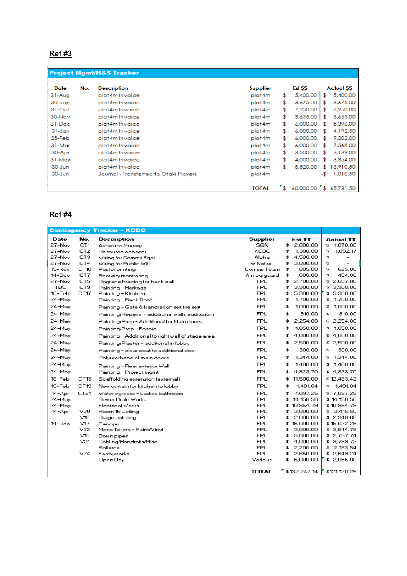# **Ref #3**

|            |     | <b>Project Mgmt/H&amp;S Tracker</b>    |                 |              |                        |     |                  |
|------------|-----|----------------------------------------|-----------------|--------------|------------------------|-----|------------------|
| Date       | No. | <b>Description</b>                     | <b>Supplier</b> |              | Est \$\$               |     | <b>Actual SS</b> |
| $31-Auq$   |     | plat4m Invoice                         | plat4m          | \$           | 5,400.00               | \$  | 5,400.00         |
| 30-Sep     |     | plat4m Invoice                         | plat4m          | \$           | 3,675.00               | \$  | 3,675.00         |
| $31-Oct$   |     | plat4m Invoice                         | plat4m          | \$.          | 7,250.00               | \$  | 7,250.00         |
| 30-Nov     |     | plat4m Invoice                         | plat4m          | \$           | 3,655.00               | \$  | 3,655.00         |
| 31-Dec     |     | plat4m Invoice                         | plat4m          | \$           | 6,000.00               | \$  | 5,396.00         |
| $31 - Jan$ |     | plat4m Invoice                         | plat4m          | \$           | 6,000.00               | \$  | 4,192.50         |
| 28-Feb     |     | plat4m Invoice                         | plat4m          | \$           | 6,000.00               | £   | 9,202.00         |
| 31-Mar     |     | plat4m Invoice                         | plat4m          | \$.          | 6,000.00               | £   | 7,568.00         |
| 30-Apr     |     | plat4m Invoice                         | plat4m          | \$           | 3,500.00               | £   | 3.139.00         |
| 31-May     |     | plat4m Invoice                         | plat4m          | \$           | 4,000.00               | £   | 3,354.00         |
| 30-Jun     |     | plat4m Invoice                         | plat4m          | \$           | 8,520.00               | \$  | 13,910.50        |
| 30-Jun     |     | Journal - Transferred to Otaki Players | plat4m          |              |                        | -\$ | 1,010.50         |
|            |     |                                        | <b>TOTAL</b>    | $\mathbf{I}$ | 60,000.00 \$ 65,731.50 |     |                  |

#### **Ref #4**

L

|                  |                  | <b>Contingency Tracker - KCDC</b>                    |                           |                                 |                            |
|------------------|------------------|------------------------------------------------------|---------------------------|---------------------------------|----------------------------|
| Date             | No.              | Description                                          | Supplier                  | Est \$\$                        | Actual \$\$                |
| 27-Nov           | CT1              | Asbestos Survey                                      | SQN                       | \$.<br>2,000.00                 | \$1,870.00                 |
| 27-Nov           | CT2              | Resource consent                                     | KCDC                      | 1,300.00<br>\$                  | \$<br>1,092.17             |
| 27-Nov           | CT3              | Wiring for Comms Egpt                                | Alpha                     | \$<br>4,500.00                  | \$<br>-                    |
| 27-Nov           | CT4              | Wiring for Public Wifi                               | <b>W</b> Nation           | 3,000.00<br>\$.                 | \$                         |
| 15-Nov           | CT10             | Poster printing                                      | Comms Team                | \$<br>805.00                    | \$<br>625.00               |
| 14-Dec<br>27-Nov | CT7<br>CT5       | Security monitoring                                  | Armourguard<br><b>FPL</b> | 600.00<br>\$<br>2,700.00<br>\$. | \$<br>484.00<br>\$2,667.06 |
| <b>TBC</b>       | CT9              | Upgrade bracing for back wall<br>Painting - Heritage | <b>FPL</b>                | \$<br>3,900.00                  | \$3,900.00                 |
| 18-Feb           | CT17             | Painting - Kitchen                                   | <b>FPL</b>                | 5,300.00<br>\$                  | \$5,300.00                 |
| 24-May           |                  | Painting - Back Roof                                 | <b>FPL</b>                | 1,700.00<br>\$                  | 1,700.00<br>\$.            |
| 24-May           |                  | Painting - Gate & handrail on ext fire exit          | <b>FPL</b>                | 1,000.00<br>\$                  | 1,000.00<br>\$.            |
| 24-May           |                  | Painting/Repairs - additional walls auditorium       | <b>FPL</b>                | 910.00<br>\$                    | 910.00<br>\$               |
| 24-May           |                  | Painting/Prep - Additional for Main doors            | <b>FPL</b>                | 2,254.00<br>\$.                 | \$2,254.00                 |
| 24-May           |                  | Painting/Prep - Fascia                               | <b>FPL</b>                | 1,050.00<br>\$                  | \$1,050.00                 |
| 24-May           |                  | Painting - Additional to right wall of stage area.   | FPL                       | 4,000.00<br>\$                  | \$4,000.00                 |
| 24-May           |                  | Painting/Plaster - additonal in lobby                | <b>FPL</b>                | 2,500.00<br>\$                  | \$2,500.00                 |
| 24-May           |                  | Painting - clear coat to additional door             | <b>FPL</b>                | \$<br>300.00                    | 300.00<br>\$               |
| 24-May           |                  | Polyurethene of main doors                           | <b>FPL</b>                | 1,344.00<br>\$                  | 1,344.00<br>\$.            |
| 24-May           |                  | Painting - Rear exterior Wall.                       | <b>FPL</b>                | 1,400.00<br>\$                  | 1,400.00<br>\$.            |
| 24-May           |                  | Painting - Project mgmt                              | <b>FPL</b>                | 4,823.70<br>\$                  | \$4,823.70                 |
| 18-Feb           | CT13             | Scaffolding extension (external)                     | FPL                       | 11,500.00<br>\$.                | \$12,483.42                |
| 18-Feb           | CT <sub>19</sub> | New ourtain for kitchen to lobby                     | <b>FPL</b>                | 1,401.84<br>\$                  | 1,401.84<br>\$.            |
| 14-Apr           | CT24             | Water egresss - Ladies bathroom                      | <b>FPL</b>                | 7,097.25<br>\$.                 | \$7,097.25                 |
| 24-May           |                  | Sewer Drain Works                                    | <b>FPL</b>                | 14,156.56<br>\$                 | \$14,156.56                |
| 24-May           |                  | Electrical Works                                     | FPL                       | \$10,854.79                     | \$10,854.79                |
| 14-Apr           | V20              | Room 16 Ceiling                                      | <b>FPL</b>                | 3,000.00<br>\$                  | \$ 3,415.50                |
|                  | V18              | Stage painting                                       | FPL                       | 2,000.00<br>\$                  | \$2,348.68                 |
| 14-Dec           | V17<br>V22       | Canopy<br>Mens Toilets - Paint/Vinyl                 | FPL<br>FPL                | \$15,000.00<br>3,000.00<br>\$   | \$15,022.26<br>\$3,644.78  |
|                  | V19              | Down pipes                                           | <b>FPL</b>                | 5,000.00<br>\$.                 | \$2,797.74                 |
|                  | V21              | Cabling/Handrails/Misc                               | <b>FPL</b>                | \$<br>4,000.00                  | \$3,789.72                 |
|                  |                  | <b>Bollards</b>                                      | <b>FPL</b>                | 2,200.00<br>\$                  | \$2,183.54                 |
|                  | V24              | Earthyworks                                          | <b>FPL</b>                | 2,650.00<br>\$.                 | \$2,649.24                 |
|                  |                  | Open Day                                             | Various                   | 5,000.00<br>\$                  | \$2,055.00                 |
|                  |                  |                                                      | <b>TOTAL</b>              | " \$132,247.14"                 | \$121,120.25               |